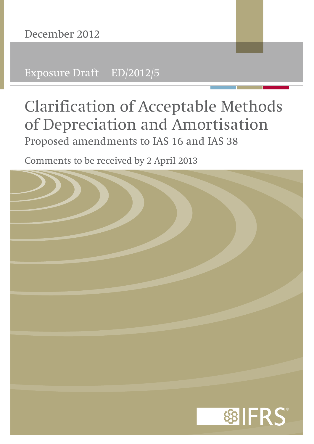Exposure Draft ED/2012/5

# **Clarification of Acceptable Methods of Depreciation and Amortisation** Proposed amendments to IAS 16 and IAS 38

Comments to be received by 2 April 2013

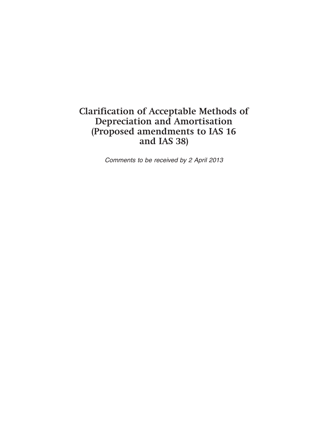# **Clarification of Acceptable Methods of Depreciation and Amortisation (Proposed amendments to IAS 16 and IAS 38)**

*Comments to be received by 2 April 2013*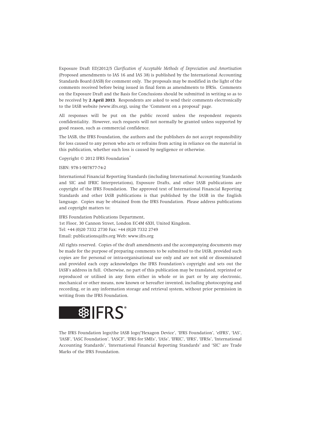Exposure Draft ED/2012/5 *Clarification of Acceptable Methods of Depreciation and Amortisation* (Proposed amendments to IAS 16 and IAS 38) is published by the International Accounting Standards Board (IASB) for comment only. The proposals may be modified in the light of the comments received before being issued in final form as amendments to IFRSs. Comments on the Exposure Draft and the Basis for Conclusions should be submitted in writing so as to be received by **2 April 2013**. Respondents are asked to send their comments electronically to the IASB website (www.ifrs.org), using the 'Comment on a proposal' page.

All responses will be put on the public record unless the respondent requests confidentiality. However, such requests will not normally be granted unless supported by good reason, such as commercial confidence.

The IASB, the IFRS Foundation, the authors and the publishers do not accept responsibility for loss caused to any person who acts or refrains from acting in reliance on the material in this publication, whether such loss is caused by negligence or otherwise.

Copyright © 2012 IFRS Foundation®

#### ISBN: 978-1-907877-74-2

International Financial Reporting Standards (including International Accounting Standards and SIC and IFRIC Interpretations), Exposure Drafts, and other IASB publications are copyright of the IFRS Foundation. The approved text of International Financial Reporting Standards and other IASB publications is that published by the IASB in the English language. Copies may be obtained from the IFRS Foundation. Please address publications and copyright matters to:

IFRS Foundation Publications Department, 1st Floor, 30 Cannon Street, London EC4M 6XH, United Kingdom. Tel: +44 (0)20 7332 2730 Fax: +44 (0)20 7332 2749 Email: publications@ifrs.org Web: www.ifrs.org

All rights reserved. Copies of the draft amendments and the accompanying documents may be made for the purpose of preparing comments to be submitted to the IASB, provided such copies are for personal or intra-organisational use only and are not sold or disseminated and provided each copy acknowledges the IFRS Foundation's copyright and sets out the IASB's address in full. Otherwise, no part of this publication may be translated, reprinted or reproduced or utilised in any form either in whole or in part or by any electronic, mechanical or other means, now known or hereafter invented, including photocopying and recording, or in any information storage and retrieval system, without prior permission in writing from the IFRS Foundation.



The IFRS Foundation logo/the IASB logo/'Hexagon Device', 'IFRS Foundation', 'eIFRS', 'IAS', 'IASB', 'IASC Foundation', 'IASCF', 'IFRS for SMEs', 'IASs', 'IFRIC', 'IFRS', 'IFRSs', 'International Accounting Standards', 'International Financial Reporting Standards' and 'SIC' are Trade Marks of the IFRS Foundation.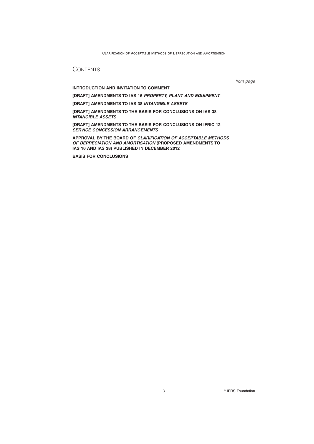## **CONTENTS**

**INTRODUCTION AND INVITATION TO COMMENT**

*from page*

**[DRAFT] AMENDMENTS TO IAS 16** *PROPERTY, PLANT AND EQUIPMENT*

**[DRAFT] AMENDMENTS TO IAS 38** *INTANGIBLE ASSETS*

**[DRAFT] AMENDMENTS TO THE BASIS FOR CONCLUSIONS ON IAS 38** *INTANGIBLE ASSETS*

**[DRAFT] AMENDMENTS TO THE BASIS FOR CONCLUSIONS ON IFRIC 12** *SERVICE CONCESSION ARRANGEMENTS*

**APPROVAL BY THE BOARD OF** *CLARIFICATION OF ACCEPTABLE METHODS OF DEPRECIATION AND AMORTISATION* **(PROPOSED AMENDMENTS TO IAS 16 AND IAS 38) PUBLISHED IN DECEMBER 2012**

**BASIS FOR CONCLUSIONS**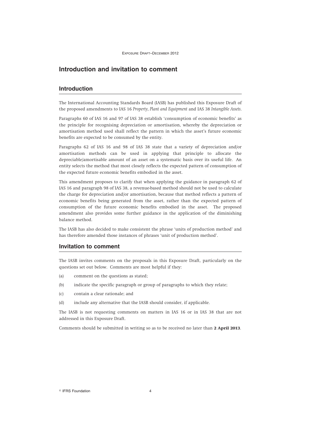#### **Introduction and invitation to comment**

#### **Introduction**

The International Accounting Standards Board (IASB) has published this Exposure Draft of the proposed amendments to IAS 16 *Property, Plant and Equipment* and IAS 38 *Intangible Assets*.

Paragraphs 60 of IAS 16 and 97 of IAS 38 establish 'consumption of economic benefits' as the principle for recognising depreciation or amortisation, whereby the depreciation or amortisation method used shall reflect the pattern in which the asset's future economic benefits are expected to be consumed by the entity.

Paragraphs 62 of IAS 16 and 98 of IAS 38 state that a variety of depreciation and/or amortisation methods can be used in applying that principle to allocate the depreciable/amortisable amount of an asset on a systematic basis over its useful life. An entity selects the method that most closely reflects the expected pattern of consumption of the expected future economic benefits embodied in the asset.

This amendment proposes to clarify that when applying the guidance in paragraph 62 of IAS 16 and paragraph 98 of IAS 38, a revenue-based method should not be used to calculate the charge for depreciation and/or amortisation, because that method reflects a pattern of economic benefits being generated from the asset, rather than the expected pattern of consumption of the future economic benefits embodied in the asset. The proposed amendment also provides some further guidance in the application of the diminishing balance method.

The IASB has also decided to make consistent the phrase 'units of production method' and has therefore amended those instances of phrases 'unit of production method'.

#### **Invitation to comment**

The IASB invites comments on the proposals in this Exposure Draft, particularly on the questions set out below. Comments are most helpful if they:

- (a) comment on the questions as stated;
- (b) indicate the specific paragraph or group of paragraphs to which they relate;
- (c) contain a clear rationale; and
- (d) include any alternative that the IASB should consider, if applicable.

The IASB is not requesting comments on matters in IAS 16 or in IAS 38 that are not addressed in this Exposure Draft.

Comments should be submitted in writing so as to be received no later than **2 April 2013**.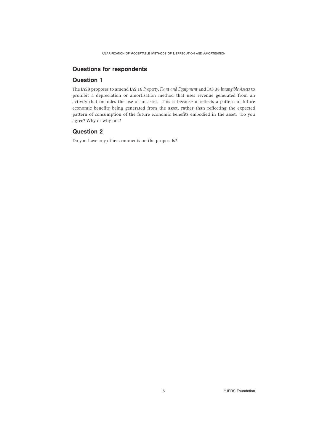#### **Questions for respondents**

#### **Question 1**

The IASB proposes to amend IAS 16 *Property, Plant and Equipment* and IAS 38 *Intangible Assets* to prohibit a depreciation or amortisation method that uses revenue generated from an activity that includes the use of an asset. This is because it reflects a pattern of future economic benefits being generated from the asset, rather than reflecting the expected pattern of consumption of the future economic benefits embodied in the asset. Do you agree? Why or why not?

#### **Question 2**

Do you have any other comments on the proposals?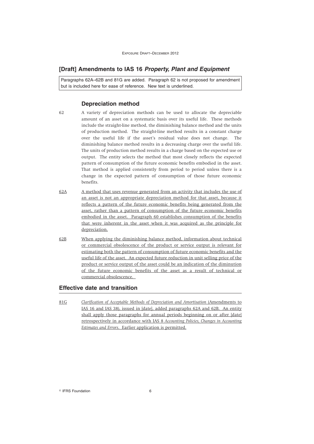EXPOSURE DRAFT–DECEMBER 2012

#### **[Draft] Amendments to IAS 16** *Property, Plant and Equipment*

Paragraphs 62A–62B and 81G are added. Paragraph 62 is not proposed for amendment but is included here for ease of reference. New text is underlined.

#### **Depreciation method**

- 62 A variety of depreciation methods can be used to allocate the depreciable amount of an asset on a systematic basis over its useful life. These methods include the straight-line method, the diminishing balance method and the units of production method. The straight-line method results in a constant charge over the useful life if the asset's residual value does not change. The diminishing balance method results in a decreasing charge over the useful life. The units of production method results in a charge based on the expected use or output. The entity selects the method that most closely reflects the expected pattern of consumption of the future economic benefits embodied in the asset. That method is applied consistently from period to period unless there is a change in the expected pattern of consumption of those future economic benefits.
- 62A A method that uses revenue generated from an activity that includes the use of an asset is not an appropriate depreciation method for that asset, because it reflects a pattern of the future economic benefits being generated from the asset, rather than a pattern of consumption of the future economic benefits embodied in the asset. Paragraph 60 establishes consumption of the benefits that were inherent in the asset when it was acquired as the principle for depreciation.
- 62B When applying the diminishing balance method, information about technical or commercial obsolescence of the product or service output is relevant for estimating both the pattern of consumption of future economic benefits and the useful life of the asset. An expected future reduction in unit selling price of the product or service output of the asset could be an indication of the diminution of the future economic benefits of the asset as a result of technical or commercial obsolescence.

#### **Effective date and transition**

81G *Clarification of Acceptable Methods of Depreciation and Amortisation* (Amendments to IAS 16 and IAS 38), issued in [date], added paragraphs 62A and 62B. An entity shall apply those paragraphs for annual periods beginning on or after [date] retrospectively in accordance with IAS 8 *Accounting Policies, Changes in Accounting Estimates and Errors*. Earlier application is permitted.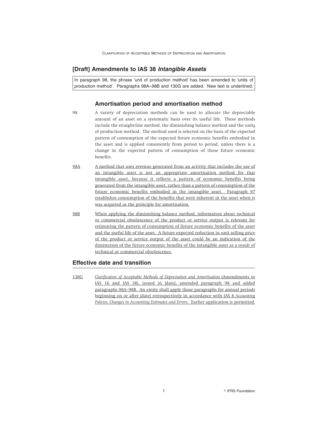#### **[Draft] Amendments to IAS 38** *Intangible Assets*

In paragraph 98, the phrase 'unit of production method' has been amended to 'units of production method'. Paragraphs 98A–98B and 130G are added. New text is underlined.

#### **Amortisation period and amortisation method**

- 98 A variety of depreciation methods can be used to allocate the depreciable amount of an asset on a systematic basis over its useful life. These methods include the straight-line method, the diminishing balance method and the units of production method. The method used is selected on the basis of the expected pattern of consumption of the expected future economic benefits embodied in the asset and is applied consistently from period to period, unless there is a change in the expected pattern of consumption of those future economic benefits.
- 98A A method that uses revenue generated from an activity that includes the use of an intangible asset is not an appropriate amortisation method for that intangible asset, because it reflects a pattern of economic benefits being generated from the intangible asset, rather than a pattern of consumption of the future economic benefits embodied in the intangible asset. Paragraph 97 establishes consumption of the benefits that were inherent in the asset when it was acquired as the principle for amortisation.
- 98B When applying the diminishing balance method, information about technical or commercial obsolescence of the product or service output is relevant for estimating the pattern of consumption of future economic benefits of the asset and the useful life of the asset. A future expected reduction in unit selling price of the product or service output of the asset could be an indication of the diminution of the future economic benefits of the intangible asset as a result of technical or commercial obsolescence.

#### **Effective date and transition**

130G *Clarification of Acceptable Methods of Depreciation and Amortisation* (Amendments to IAS 16 and IAS 38), issued in [date], amended paragraph 98 and added paragraphs 98A–98B. An entity shall apply those paragraphs for annual periods beginning on or after [date] retrospectively in accordance with IAS 8 *Accounting Policies, Changes in Accounting Estimates and Errors*. Earlier application is permitted.

7 **IFRS** Foundation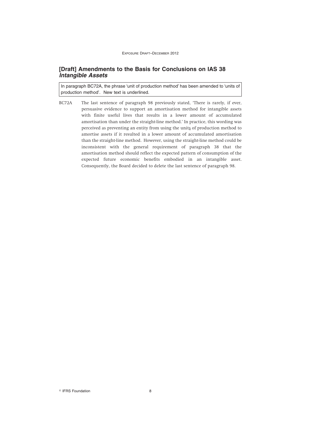#### **[Draft] Amendments to the Basis for Conclusions on IAS 38** *Intangible Assets*

In paragraph BC72A, the phrase 'unit of production method' has been amended to 'units of production method'. New text is underlined.

BC72A The last sentence of paragraph 98 previously stated, 'There is rarely, if ever, persuasive evidence to support an amortisation method for intangible assets with finite useful lives that results in a lower amount of accumulated amortisation than under the straight-line method.' In practice, this wording was perceived as preventing an entity from using the units of production method to amortise assets if it resulted in a lower amount of accumulated amortisation than the straight-line method. However, using the straight-line method could be inconsistent with the general requirement of paragraph 38 that the amortisation method should reflect the expected pattern of consumption of the expected future economic benefits embodied in an intangible asset. Consequently, the Board decided to delete the last sentence of paragraph 98.

<sup>©</sup> IFRS Foundation 8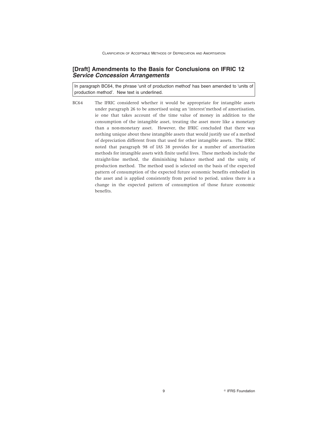#### **[Draft] Amendments to the Basis for Conclusions on IFRIC 12** *Service Concession Arrangements*

In paragraph BC64, the phrase 'unit of production method' has been amended to 'units of production method'. New text is underlined.

BC64 The IFRIC considered whether it would be appropriate for intangible assets under paragraph 26 to be amortised using an 'interest'method of amortisation, ie one that takes account of the time value of money in addition to the consumption of the intangible asset, treating the asset more like a monetary than a non-monetary asset. However, the IFRIC concluded that there was nothing unique about these intangible assets that would justify use of a method of depreciation different from that used for other intangible assets. The IFRIC noted that paragraph 98 of IAS 38 provides for a number of amortisation methods for intangible assets with finite useful lives. These methods include the straight-line method, the diminishing balance method and the units of production method. The method used is selected on the basis of the expected pattern of consumption of the expected future economic benefits embodied in the asset and is applied consistently from period to period, unless there is a change in the expected pattern of consumption of those future economic benefits.

9 IFRS Foundation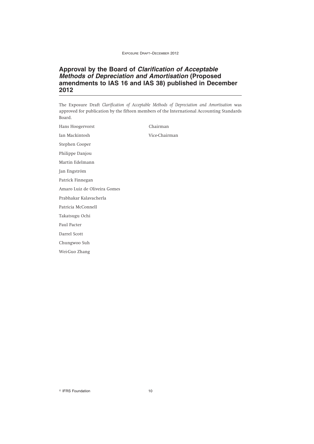EXPOSURE DRAFT–DECEMBER 2012

### **Approval by the Board of** *Clarification of Acceptable Methods of Depreciation and Amortisation* **(Proposed amendments to IAS 16 and IAS 38) published in December 2012**

The Exposure Draft *Clarification of Acceptable Methods of Depreciation and Amortisation* was approved for publication by the fifteen members of the International Accounting Standards Board.

Hans Hoogervorst Chairman Ian Mackintosh Vice-Chairman Stephen Cooper Philippe Danjou Martin Edelmann Jan Engström Patrick Finnegan Amaro Luiz de Oliveira Gomes Prabhakar Kalavacherla Patricia McConnell Takatsugu Ochi Paul Pacter Darrel Scott Chungwoo Suh Wei-Guo Zhang

<sup>©</sup> IFRS Foundation 10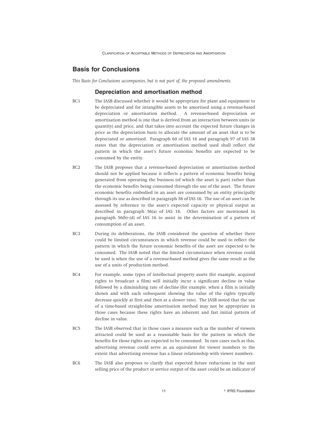#### **Basis for Conclusions**

*This Basis for Conclusions accompanies, but is not part of, the proposed amendments.*

#### **Depreciation and amortisation method**

- BC1 The IASB discussed whether it would be appropriate for plant and equipment to be depreciated and for intangible assets to be amortised using a revenue-based depreciation or amortisation method. A revenue-based depreciation or amortisation method is one that is derived from an interaction between units (ie quantity) and price, and that takes into account the expected future changes in price as the depreciation basis to allocate the amount of an asset that is to be depreciated or amortised. Paragraph 60 of IAS 16 and paragraph 97 of IAS 38 states that the depreciation or amortisation method used shall reflect the pattern in which the asset's future economic benefits are expected to be consumed by the entity.
- BC2 The IASB proposes that a revenue-based depreciation or amortisation method should not be applied because it reflects a pattern of economic benefits being generated from operating the business (of which the asset is part) rather than the economic benefits being consumed through the use of the asset. The future economic benefits embodied in an asset are consumed by an entity principally through its use as described in paragraph 56 of IAS 16. The use of an asset can be assessed by reference to the asset's expected capacity or physical output as described in paragraph 56(a) of IAS 16. Other factors are mentioned in paragraph 56(b)–(d) of IAS 16 to assist in the determination of a pattern of consumption of an asset.
- BC3 During its deliberations, the IASB considered the question of whether there could be limited circumstances in which revenue could be used to reflect the pattern in which the future economic benefits of the asset are expected to be consumed. The IASB noted that the limited circumstance when revenue could be used is when the use of a revenue-based method gives the same result as the use of a units of production method.
- BC4 For example, some types of intellectual property assets (for example, acquired rights to broadcast a film) will initially incur a significant decline in value followed by a diminishing rate of decline (for example, when a film is initially shown and with each subsequent showing the value of the rights typically decrease quickly at first and then at a slower rate). The IASB noted that the use of a time-based straight-line amortisation method may not be appropriate in those cases because these rights have an inherent and fast initial pattern of decline in value.
- BC5 The IASB observed that in those cases a measure such as the number of viewers attracted could be used as a reasonable basis for the pattern in which the benefits for those rights are expected to be consumed. In rare cases such as this, advertising revenue could serve as an equivalent for viewer numbers to the extent that advertising revenue has a linear relationship with viewer numbers.
- BC6 The IASB also proposes to clarify that expected future reductions in the unit selling price of the product or service output of the asset could be an indicator of

11 **Constanting Construction Construction Construction**